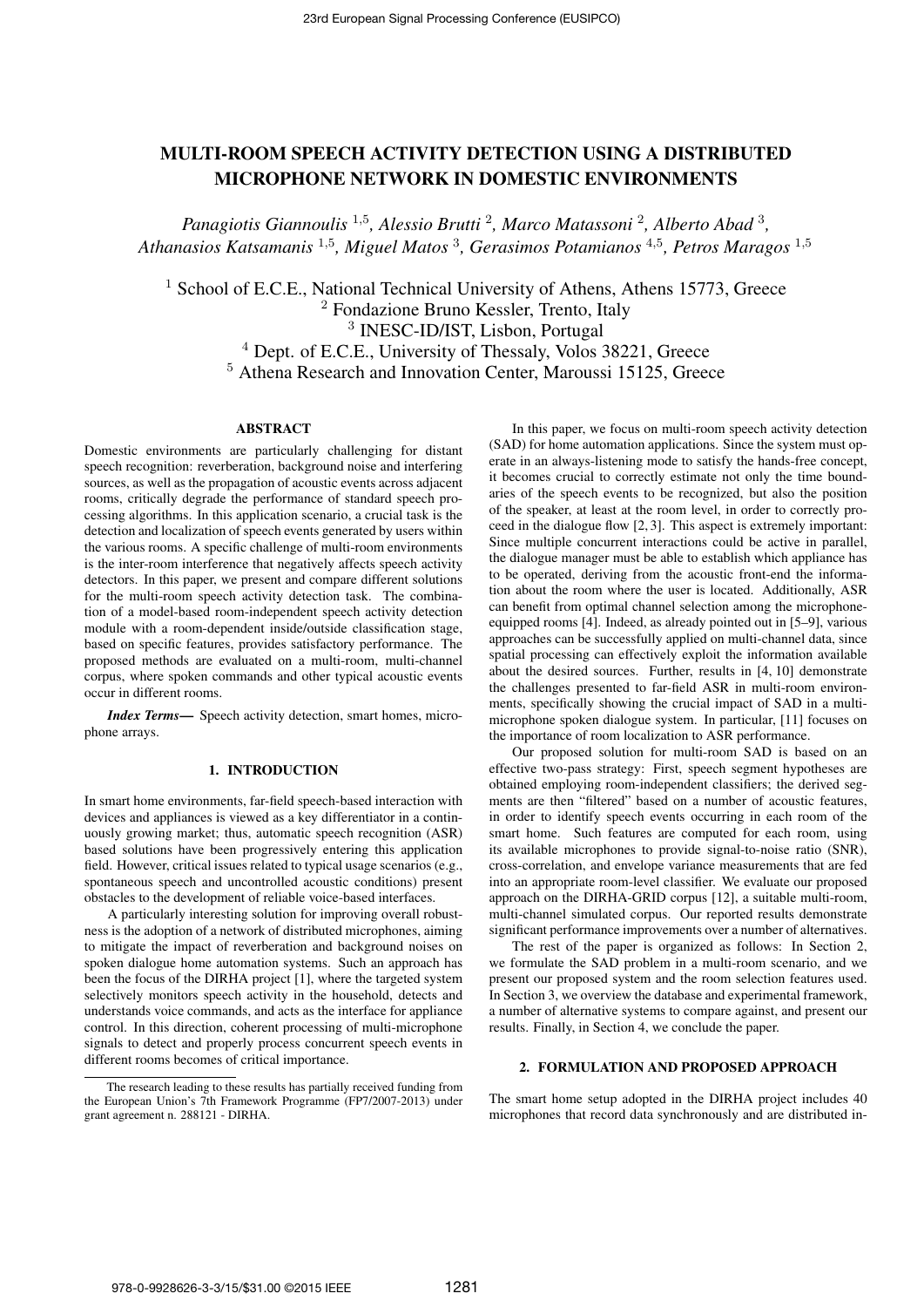# MULTI-ROOM SPEECH ACTIVITY DETECTION USING A DISTRIBUTED MICROPHONE NETWORK IN DOMESTIC ENVIRONMENTS

Panagiotis Giannoulis <sup>1,5</sup>, Alessio Brutti<sup>2</sup>, Marco Matassoni<sup>2</sup>, Alberto Abad<sup>3</sup>, *Athanasios Katsamanis* <sup>1</sup>,<sup>5</sup> *, Miguel Matos* <sup>3</sup> *, Gerasimos Potamianos* <sup>4</sup>,<sup>5</sup> *, Petros Maragos* <sup>1</sup>,<sup>5</sup>

<sup>1</sup> School of E.C.E., National Technical University of Athens, Athens 15773, Greece <sup>2</sup> Fondazione Bruno Kessler, Trento, Italy

3 INESC-ID/IST, Lisbon, Portugal

<sup>4</sup> Dept. of E.C.E., University of Thessaly, Volos 38221, Greece

<sup>5</sup> Athena Research and Innovation Center, Maroussi 15125, Greece

# ABSTRACT

Domestic environments are particularly challenging for distant speech recognition: reverberation, background noise and interfering sources, as well as the propagation of acoustic events across adjacent rooms, critically degrade the performance of standard speech processing algorithms. In this application scenario, a crucial task is the detection and localization of speech events generated by users within the various rooms. A specific challenge of multi-room environments is the inter-room interference that negatively affects speech activity detectors. In this paper, we present and compare different solutions for the multi-room speech activity detection task. The combination of a model-based room-independent speech activity detection module with a room-dependent inside/outside classification stage, based on specific features, provides satisfactory performance. The proposed methods are evaluated on a multi-room, multi-channel corpus, where spoken commands and other typical acoustic events occur in different rooms.

*Index Terms*— Speech activity detection, smart homes, microphone arrays.

# 1. INTRODUCTION

In smart home environments, far-field speech-based interaction with devices and appliances is viewed as a key differentiator in a continuously growing market; thus, automatic speech recognition (ASR) based solutions have been progressively entering this application field. However, critical issues related to typical usage scenarios (e.g., spontaneous speech and uncontrolled acoustic conditions) present obstacles to the development of reliable voice-based interfaces.

A particularly interesting solution for improving overall robustness is the adoption of a network of distributed microphones, aiming to mitigate the impact of reverberation and background noises on spoken dialogue home automation systems. Such an approach has been the focus of the DIRHA project [1], where the targeted system selectively monitors speech activity in the household, detects and understands voice commands, and acts as the interface for appliance control. In this direction, coherent processing of multi-microphone signals to detect and properly process concurrent speech events in different rooms becomes of critical importance.

In this paper, we focus on multi-room speech activity detection (SAD) for home automation applications. Since the system must operate in an always-listening mode to satisfy the hands-free concept, it becomes crucial to correctly estimate not only the time boundaries of the speech events to be recognized, but also the position of the speaker, at least at the room level, in order to correctly proceed in the dialogue flow [2, 3]. This aspect is extremely important: Since multiple concurrent interactions could be active in parallel, the dialogue manager must be able to establish which appliance has to be operated, deriving from the acoustic front-end the information about the room where the user is located. Additionally, ASR can benefit from optimal channel selection among the microphoneequipped rooms [4]. Indeed, as already pointed out in [5–9], various approaches can be successfully applied on multi-channel data, since spatial processing can effectively exploit the information available about the desired sources. Further, results in [4, 10] demonstrate the challenges presented to far-field ASR in multi-room environments, specifically showing the crucial impact of SAD in a multimicrophone spoken dialogue system. In particular, [11] focuses on the importance of room localization to ASR performance.

Our proposed solution for multi-room SAD is based on an effective two-pass strategy: First, speech segment hypotheses are obtained employing room-independent classifiers; the derived segments are then "filtered" based on a number of acoustic features, in order to identify speech events occurring in each room of the smart home. Such features are computed for each room, using its available microphones to provide signal-to-noise ratio (SNR), cross-correlation, and envelope variance measurements that are fed into an appropriate room-level classifier. We evaluate our proposed approach on the DIRHA-GRID corpus [12], a suitable multi-room, multi-channel simulated corpus. Our reported results demonstrate significant performance improvements over a number of alternatives.

The rest of the paper is organized as follows: In Section 2, we formulate the SAD problem in a multi-room scenario, and we present our proposed system and the room selection features used. In Section 3, we overview the database and experimental framework, a number of alternative systems to compare against, and present our results. Finally, in Section 4, we conclude the paper.

# 2. FORMULATION AND PROPOSED APPROACH

The smart home setup adopted in the DIRHA project includes 40 microphones that record data synchronously and are distributed in-

The research leading to these results has partially received funding from the European Union's 7th Framework Programme (FP7/2007-2013) under grant agreement n. 288121 - DIRHA.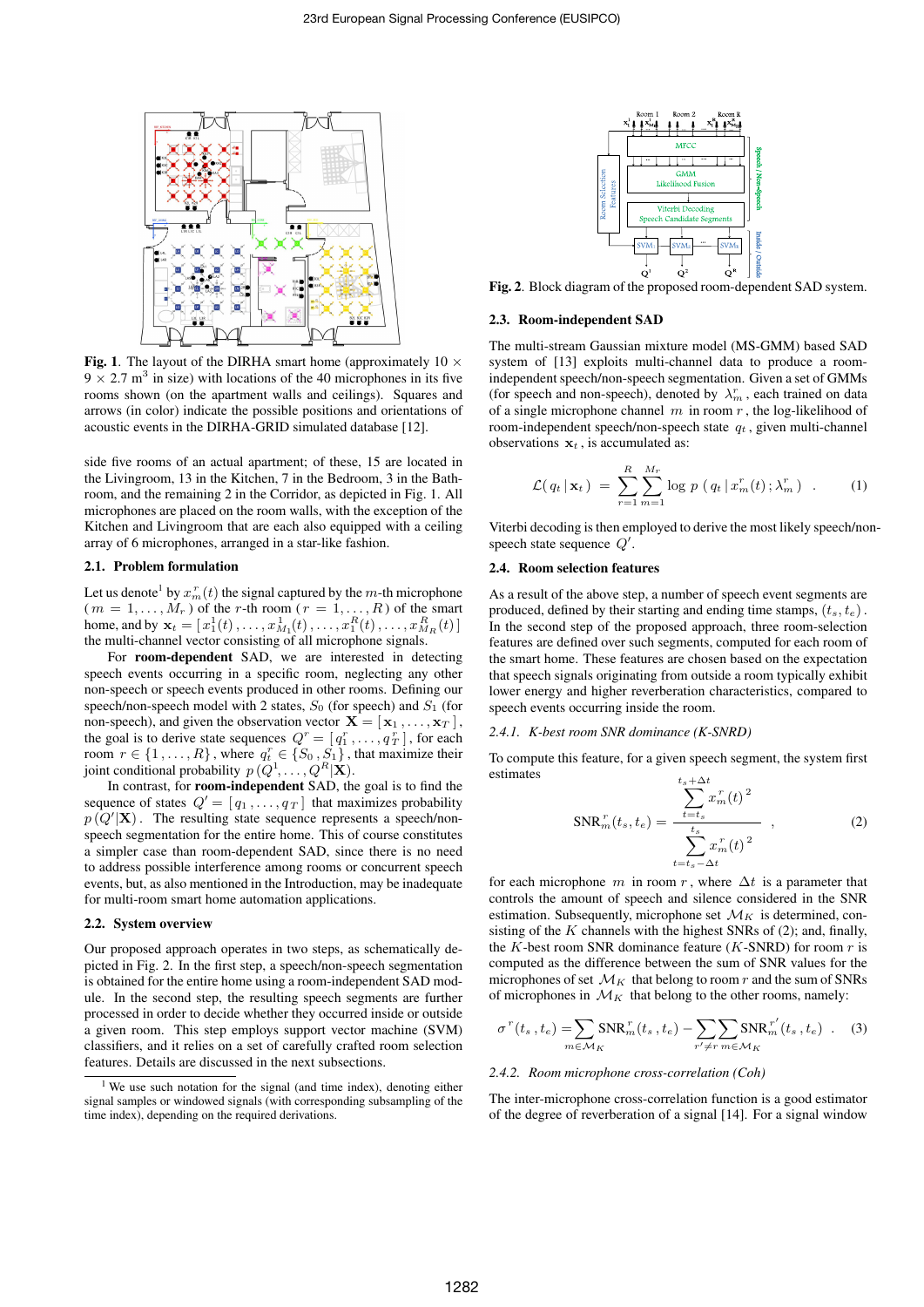

Fig. 1. The layout of the DIRHA smart home (approximately 10  $\times$  $9 \times 2.7$  m<sup>3</sup> in size) with locations of the 40 microphones in its five rooms shown (on the apartment walls and ceilings). Squares and arrows (in color) indicate the possible positions and orientations of acoustic events in the DIRHA-GRID simulated database [12].

side five rooms of an actual apartment; of these, 15 are located in the Livingroom, 13 in the Kitchen, 7 in the Bedroom, 3 in the Bathroom, and the remaining 2 in the Corridor, as depicted in Fig. 1. All microphones are placed on the room walls, with the exception of the Kitchen and Livingroom that are each also equipped with a ceiling array of 6 microphones, arranged in a star-like fashion.

## 2.1. Problem formulation

Let us denote<sup>1</sup> by  $x_m^r(t)$  the signal captured by the m-th microphone  $(m = 1, \ldots, M_r)$  of the r-th room  $(r = 1, \ldots, R)$  of the smart home, and by  $\mathbf{x}_t = [x_1^1(t), \dots, x_{M_1}^1(t), \dots, x_1^R(t), \dots, x_{M_R}^R(t)]$ the multi-channel vector consisting of all microphone signals.

For room-dependent SAD, we are interested in detecting speech events occurring in a specific room, neglecting any other non-speech or speech events produced in other rooms. Defining our speech/non-speech model with 2 states,  $S_0$  (for speech) and  $S_1$  (for non-speech), and given the observation vector  $X = [\mathbf{x}_1, \dots, \mathbf{x}_T]$ , the goal is to derive state sequences  $Q^r = [q_1^r, \ldots, q_T^r]$ , for each room  $r \in \{1, ..., R\}$ , where  $q_t^r \in \{S_0, S_1\}$ , that maximize their joint conditional probability  $p(Q^1, \ldots, Q^R | \mathbf{X})$ .

In contrast, for room-independent SAD, the goal is to find the sequence of states  $Q' = [q_1, \ldots, q_T]$  that maximizes probability  $p(Q'|\mathbf{X})$ . The resulting state sequence represents a speech/nonspeech segmentation for the entire home. This of course constitutes a simpler case than room-dependent SAD, since there is no need to address possible interference among rooms or concurrent speech events, but, as also mentioned in the Introduction, may be inadequate for multi-room smart home automation applications.

## 2.2. System overview

Our proposed approach operates in two steps, as schematically depicted in Fig. 2. In the first step, a speech/non-speech segmentation is obtained for the entire home using a room-independent SAD module. In the second step, the resulting speech segments are further processed in order to decide whether they occurred inside or outside a given room. This step employs support vector machine (SVM) classifiers, and it relies on a set of carefully crafted room selection features. Details are discussed in the next subsections.



Fig. 2. Block diagram of the proposed room-dependent SAD system.

# 2.3. Room-independent SAD

The multi-stream Gaussian mixture model (MS-GMM) based SAD system of [13] exploits multi-channel data to produce a roomindependent speech/non-speech segmentation. Given a set of GMMs (for speech and non-speech), denoted by  $\lambda_n^r$ , each trained on data of a single microphone channel  $m$  in room  $r$ , the log-likelihood of room-independent speech/non-speech state  $q_t$ , given multi-channel observations  $x_t$ , is accumulated as:

$$
\mathcal{L}(q_t \,|\, \mathbf{x}_t) \ = \ \sum_{r=1}^{R} \sum_{m=1}^{M_r} \log \ p\ (q_t \,|\, x_m^r(t) \,;\lambda_m^r) \quad . \tag{1}
$$

Viterbi decoding is then employed to derive the most likely speech/nonspeech state sequence  $Q'$ .

## 2.4. Room selection features

As a result of the above step, a number of speech event segments are produced, defined by their starting and ending time stamps,  $(t_s, t_e)$ . In the second step of the proposed approach, three room-selection features are defined over such segments, computed for each room of the smart home. These features are chosen based on the expectation that speech signals originating from outside a room typically exhibit lower energy and higher reverberation characteristics, compared to speech events occurring inside the room.

### *2.4.1. K-best room SNR dominance (K-SNRD)*

To compute this feature, for a given speech segment, the system first estimates  $t_s+\Delta t$ 

$$
SNR_m^r(t_s, t_e) = \frac{\sum_{t=t_s}^{t_s} x_m^r(t)^2}{\sum_{t=t_s - \Delta t}^{t_s} x_m^r(t)^2},
$$
 (2)

for each microphone m in room r, where  $\Delta t$  is a parameter that controls the amount of speech and silence considered in the SNR estimation. Subsequently, microphone set  $\mathcal{M}_K$  is determined, consisting of the  $K$  channels with the highest SNRs of (2); and, finally, the K-best room SNR dominance feature  $(K\text{-SNRD})$  for room r is computed as the difference between the sum of SNR values for the microphones of set  $\mathcal{M}_K$  that belong to room r and the sum of SNRs of microphones in  $\mathcal{M}_K$  that belong to the other rooms, namely:

$$
\sigma^{r}(t_s, t_e) = \sum_{m \in \mathcal{M}_K} \text{SNR}_{m}^{r}(t_s, t_e) - \sum_{r' \neq r} \sum_{m \in \mathcal{M}_K} \text{SNR}_{m}^{r'}(t_s, t_e) \quad . \quad (3)
$$

#### *2.4.2. Room microphone cross-correlation (Coh)*

The inter-microphone cross-correlation function is a good estimator of the degree of reverberation of a signal [14]. For a signal window

<sup>&</sup>lt;sup>1</sup> We use such notation for the signal (and time index), denoting either signal samples or windowed signals (with corresponding subsampling of the time index), depending on the required derivations.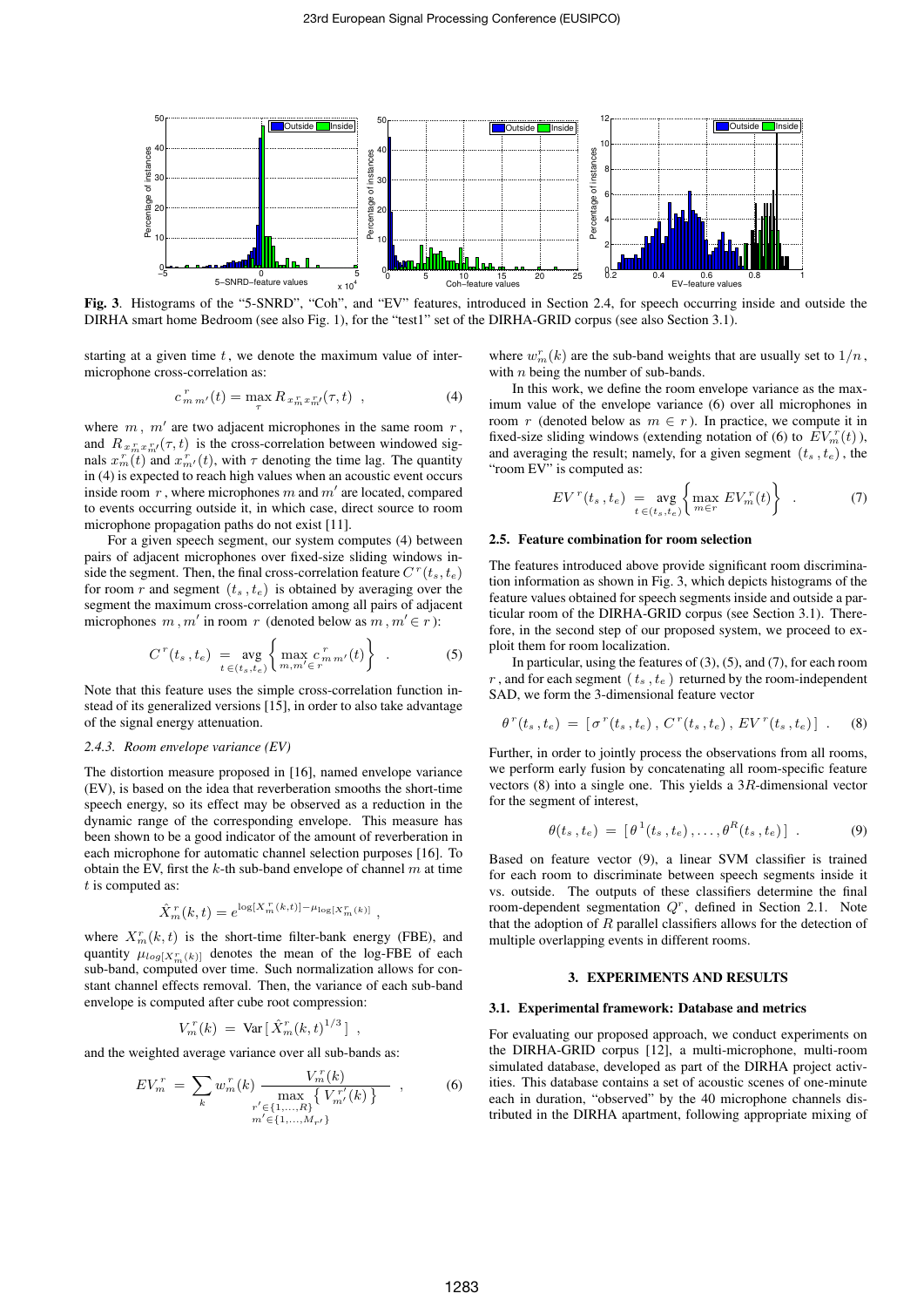

Fig. 3. Histograms of the "5-SNRD", "Coh", and "EV" features, introduced in Section 2.4, for speech occurring inside and outside the DIRHA smart home Bedroom (see also Fig. 1), for the "test1" set of the DIRHA-GRID corpus (see also Section 3.1).

starting at a given time  $t$ , we denote the maximum value of intermicrophone cross-correlation as:

where 
$$
w_m^r(k)
$$
 are the sub-band weights that are usually set to  $1/n$ , with *n* being the number of sub-bands.

$$
c_{m\,m'}^{\,r}(t) = \max_{\tau} R_{x_m^{\,r}x_{m'}^{\,r}}(\tau, t) \quad , \tag{4}
$$

where  $m$ ,  $m'$  are two adjacent microphones in the same room  $r$ , and  $R_{x_m^r x_m^r}(\tau, t)$  is the cross-correlation between windowed signals  $x_m^r(i)$  and  $x_{m'}^r(t)$ , with  $\tau$  denoting the time lag. The quantity in (4) is expected to reach high values when an acoustic event occurs inside room  $r$ , where microphones  $m$  and  $m'$  are located, compared to events occurring outside it, in which case, direct source to room microphone propagation paths do not exist [11].

For a given speech segment, our system computes (4) between pairs of adjacent microphones over fixed-size sliding windows inside the segment. Then, the final cross-correlation feature  $C^{r}(t_s,t_e)$ for room r and segment  $(t_s, t_e)$  is obtained by averaging over the segment the maximum cross-correlation among all pairs of adjacent microphones  $m, m'$  in room r (denoted below as  $m, m' \in r$ ):

$$
C^{r}(t_s, t_e) = \underset{t \in (t_s, t_e)}{\text{avg}} \left\{ \underset{m, m' \in r}{\text{max }} c_{m, m'}^{r}(t) \right\} \quad . \tag{5}
$$

Note that this feature uses the simple cross-correlation function instead of its generalized versions [15], in order to also take advantage of the signal energy attenuation.

#### *2.4.3. Room envelope variance (EV)*

The distortion measure proposed in [16], named envelope variance (EV), is based on the idea that reverberation smooths the short-time speech energy, so its effect may be observed as a reduction in the dynamic range of the corresponding envelope. This measure has been shown to be a good indicator of the amount of reverberation in each microphone for automatic channel selection purposes [16]. To obtain the EV, first the  $k$ -th sub-band envelope of channel  $m$  at time t is computed as:

$$
\hat{X}_m^r(k,t) = e^{\log[X_m^r(k,t)] - \mu_{\log[X_m^r(k)]}},
$$

where  $X_m^r(k, t)$  is the short-time filter-bank energy (FBE), and quantity  $\mu_{log[X_m^r(k)]}$  denotes the mean of the log-FBE of each sub-band, computed over time. Such normalization allows for constant channel effects removal. Then, the variance of each sub-band envelope is computed after cube root compression:

$$
V_m^{\,r}(k) \; = \; \text{Var} \left[ \, \hat{X}_m^r(k,t)^{1/3} \, \right] \; ,
$$

and the weighted average variance over all sub-bands as:

$$
EV_m^r = \sum_k w_m^r(k) \frac{V_m^r(k)}{\max\limits_{\substack{r' \in \{1, \ldots, R\} \\ m' \in \{1, \ldots, M_{r'}\} }} \frac{V_m^r(k)}{V_{m'}^{r'}(k)}},
$$
(6)

In this work, we define the room envelope variance as the maximum value of the envelope variance (6) over all microphones in room r (denoted below as  $m \in r$ ). In practice, we compute it in fixed-size sliding windows (extending notation of (6) to  $EV_m^r(t)$ ), and averaging the result; namely, for a given segment  $(t<sub>s</sub>, t<sub>e</sub>)$ , the "room EV" is computed as:

$$
EV^{r}(t_{s}, t_{e}) = \underset{t \in (t_{s}, t_{e})}{\text{avg}} \left\{ \underset{m \in r}{\text{max}} \ E V_{m}^{r}(t) \right\} \quad . \tag{7}
$$

## 2.5. Feature combination for room selection

The features introduced above provide significant room discrimination information as shown in Fig. 3, which depicts histograms of the feature values obtained for speech segments inside and outside a particular room of the DIRHA-GRID corpus (see Section 3.1). Therefore, in the second step of our proposed system, we proceed to exploit them for room localization.

In particular, using the features of (3), (5), and (7), for each room r, and for each segment ( $t_s, t_e$ ) returned by the room-independent SAD, we form the 3-dimensional feature vector

$$
\theta^{\,r}(t_s, t_e) \,=\, [\,\sigma^{\,r}(t_s, t_e)\,,\,C^{\,r}(t_s, t_e)\,,\,EV^{\,r}(t_s, t_e)\,]\,\,. \tag{8}
$$

Further, in order to jointly process the observations from all rooms, we perform early fusion by concatenating all room-specific feature vectors  $(8)$  into a single one. This yields a 3R-dimensional vector for the segment of interest,

$$
\theta(t_s, t_e) = [\theta^1(t_s, t_e), \dots, \theta^R(t_s, t_e)] \tag{9}
$$

Based on feature vector (9), a linear SVM classifier is trained for each room to discriminate between speech segments inside it vs. outside. The outputs of these classifiers determine the final room-dependent segmentation  $Q<sup>r</sup>$ , defined in Section 2.1. Note that the adoption of  $R$  parallel classifiers allows for the detection of multiple overlapping events in different rooms.

## 3. EXPERIMENTS AND RESULTS

#### 3.1. Experimental framework: Database and metrics

For evaluating our proposed approach, we conduct experiments on the DIRHA-GRID corpus [12], a multi-microphone, multi-room simulated database, developed as part of the DIRHA project activities. This database contains a set of acoustic scenes of one-minute each in duration, "observed" by the 40 microphone channels distributed in the DIRHA apartment, following appropriate mixing of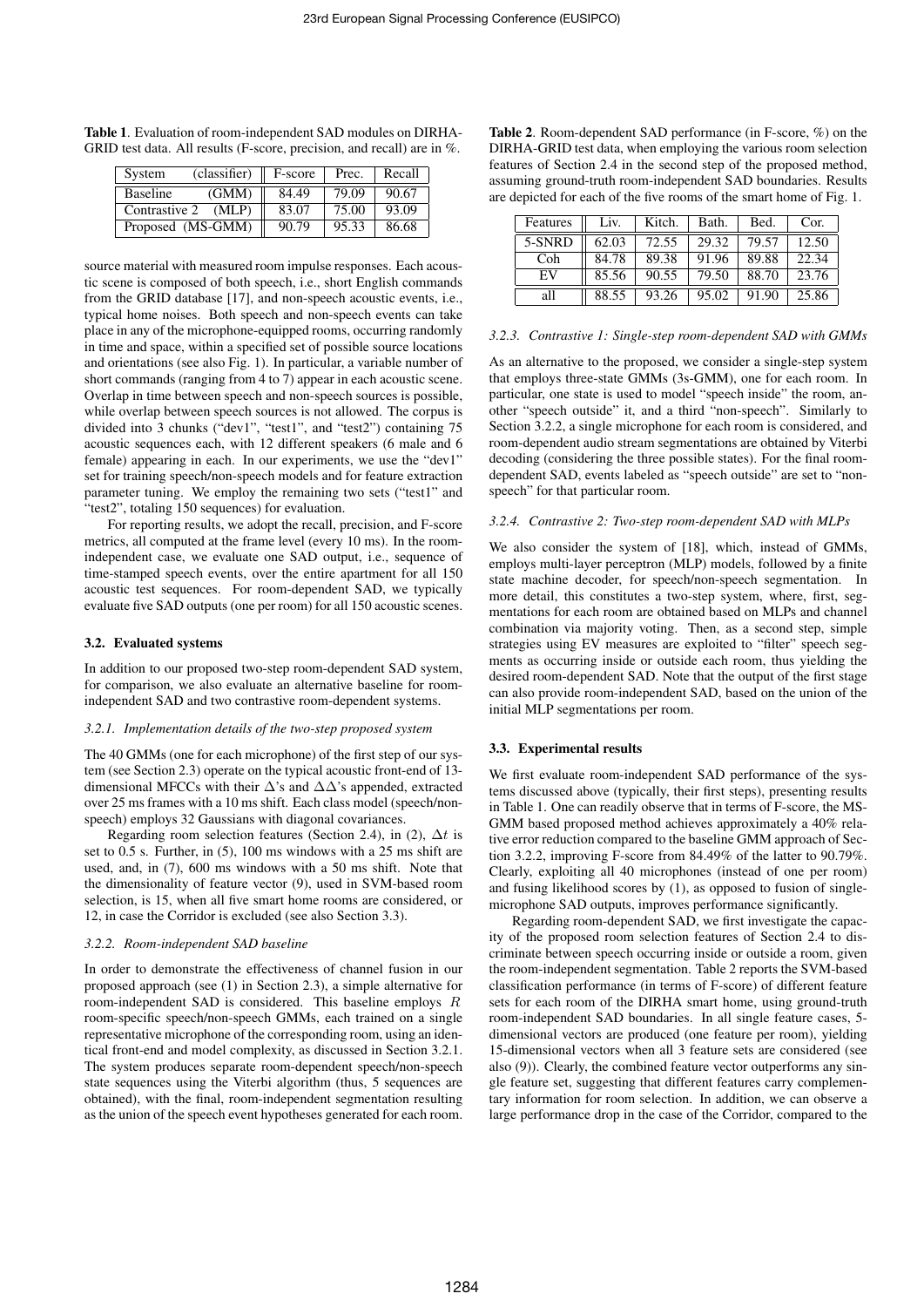| (classifier)<br>System   | F-score | Prec. | Recall |
|--------------------------|---------|-------|--------|
| <b>Baseline</b><br>(GMM) | 84.49   | 79.09 | 90.67  |
| Contrastive 2<br>(MLP)   | 83.07   | 75.00 | 93.09  |
| Proposed (MS-GMM)        | 90.79   | 95.33 | 86.68  |

Table 1. Evaluation of room-independent SAD modules on DIRHA-GRID test data. All results (F-score, precision, and recall) are in %.

source material with measured room impulse responses. Each acoustic scene is composed of both speech, i.e., short English commands from the GRID database [17], and non-speech acoustic events, i.e., typical home noises. Both speech and non-speech events can take place in any of the microphone-equipped rooms, occurring randomly in time and space, within a specified set of possible source locations and orientations (see also Fig. 1). In particular, a variable number of short commands (ranging from 4 to 7) appear in each acoustic scene. Overlap in time between speech and non-speech sources is possible, while overlap between speech sources is not allowed. The corpus is divided into 3 chunks ("dev1", "test1", and "test2") containing 75 acoustic sequences each, with 12 different speakers (6 male and 6 female) appearing in each. In our experiments, we use the "dev1" set for training speech/non-speech models and for feature extraction parameter tuning. We employ the remaining two sets ("test1" and "test2", totaling 150 sequences) for evaluation.

For reporting results, we adopt the recall, precision, and F-score metrics, all computed at the frame level (every 10 ms). In the roomindependent case, we evaluate one SAD output, i.e., sequence of time-stamped speech events, over the entire apartment for all 150 acoustic test sequences. For room-dependent SAD, we typically evaluate five SAD outputs (one per room) for all 150 acoustic scenes.

### 3.2. Evaluated systems

In addition to our proposed two-step room-dependent SAD system, for comparison, we also evaluate an alternative baseline for roomindependent SAD and two contrastive room-dependent systems.

#### *3.2.1. Implementation details of the two-step proposed system*

The 40 GMMs (one for each microphone) of the first step of our system (see Section 2.3) operate on the typical acoustic front-end of 13 dimensional MFCCs with their  $\Delta$ 's and  $\Delta\Delta$ 's appended, extracted over 25 ms frames with a 10 ms shift. Each class model (speech/nonspeech) employs 32 Gaussians with diagonal covariances.

Regarding room selection features (Section 2.4), in (2),  $\Delta t$  is set to 0.5 s. Further, in (5), 100 ms windows with a 25 ms shift are used, and, in (7), 600 ms windows with a 50 ms shift. Note that the dimensionality of feature vector (9), used in SVM-based room selection, is 15, when all five smart home rooms are considered, or 12, in case the Corridor is excluded (see also Section 3.3).

#### *3.2.2. Room-independent SAD baseline*

In order to demonstrate the effectiveness of channel fusion in our proposed approach (see (1) in Section 2.3), a simple alternative for room-independent SAD is considered. This baseline employs R room-specific speech/non-speech GMMs, each trained on a single representative microphone of the corresponding room, using an identical front-end and model complexity, as discussed in Section 3.2.1. The system produces separate room-dependent speech/non-speech state sequences using the Viterbi algorithm (thus, 5 sequences are obtained), with the final, room-independent segmentation resulting as the union of the speech event hypotheses generated for each room.

Table 2. Room-dependent SAD performance (in F-score, %) on the DIRHA-GRID test data, when employing the various room selection features of Section 2.4 in the second step of the proposed method, assuming ground-truth room-independent SAD boundaries. Results are depicted for each of the five rooms of the smart home of Fig. 1.

| Features | Liv.  | Kitch. | Bath. | Bed.  | Cor.  |
|----------|-------|--------|-------|-------|-------|
| 5-SNRD   | 62.03 | 72.55  | 29.32 | 79.57 | 12.50 |
| Coh      | 84.78 | 89.38  | 91.96 | 89.88 | 22.34 |
| EV       | 85.56 | 90.55  | 79.50 | 88.70 | 23.76 |
| all      | 88.55 | 93.26  | 95.02 | 91.90 | 25.86 |

#### *3.2.3. Contrastive 1: Single-step room-dependent SAD with GMMs*

As an alternative to the proposed, we consider a single-step system that employs three-state GMMs (3s-GMM), one for each room. In particular, one state is used to model "speech inside" the room, another "speech outside" it, and a third "non-speech". Similarly to Section 3.2.2, a single microphone for each room is considered, and room-dependent audio stream segmentations are obtained by Viterbi decoding (considering the three possible states). For the final roomdependent SAD, events labeled as "speech outside" are set to "nonspeech" for that particular room.

#### *3.2.4. Contrastive 2: Two-step room-dependent SAD with MLPs*

We also consider the system of [18], which, instead of GMMs, employs multi-layer perceptron (MLP) models, followed by a finite state machine decoder, for speech/non-speech segmentation. In more detail, this constitutes a two-step system, where, first, segmentations for each room are obtained based on MLPs and channel combination via majority voting. Then, as a second step, simple strategies using EV measures are exploited to "filter" speech segments as occurring inside or outside each room, thus yielding the desired room-dependent SAD. Note that the output of the first stage can also provide room-independent SAD, based on the union of the initial MLP segmentations per room.

#### 3.3. Experimental results

We first evaluate room-independent SAD performance of the systems discussed above (typically, their first steps), presenting results in Table 1. One can readily observe that in terms of F-score, the MS-GMM based proposed method achieves approximately a 40% relative error reduction compared to the baseline GMM approach of Section 3.2.2, improving F-score from 84.49% of the latter to 90.79%. Clearly, exploiting all 40 microphones (instead of one per room) and fusing likelihood scores by (1), as opposed to fusion of singlemicrophone SAD outputs, improves performance significantly.

Regarding room-dependent SAD, we first investigate the capacity of the proposed room selection features of Section 2.4 to discriminate between speech occurring inside or outside a room, given the room-independent segmentation. Table 2 reports the SVM-based classification performance (in terms of F-score) of different feature sets for each room of the DIRHA smart home, using ground-truth room-independent SAD boundaries. In all single feature cases, 5 dimensional vectors are produced (one feature per room), yielding 15-dimensional vectors when all 3 feature sets are considered (see also (9)). Clearly, the combined feature vector outperforms any single feature set, suggesting that different features carry complementary information for room selection. In addition, we can observe a large performance drop in the case of the Corridor, compared to the